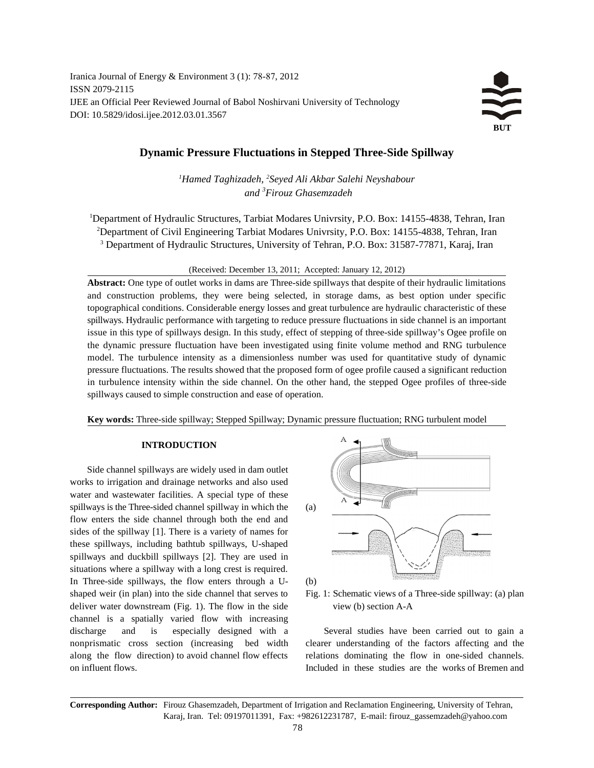Iranica Journal of Energy & Environment 3 (1): 78-87, 2012 ISSN 2079-2115 IJEE an Official Peer Reviewed Journal of Babol Noshirvani University of Technology DOI: 10.5829/idosi.ijee.2012.03.01.3567



# **Dynamic Pressure Fluctuations in Stepped Three-Side Spillway**

<sup>1</sup>Hamed Taghizadeh, <sup>2</sup>Seyed Ali Akbar Salehi Neyshabour *and <sup>3</sup> Firouz Ghasemzadeh*

<sup>1</sup>Department of Hydraulic Structures, Tarbiat Modares Univrsity, P.O. Box: 14155-4838, Tehran, Iran <sup>2</sup>Department of Civil Engineering Tarbiat Modares Univrsity, P.O. Box: 14155-4838, Tehran, Iran <sup>3</sup> Department of Hydraulic Structures, University of Tehran, P.O. Box: 31587-77871, Karaj, Iran

(Received: December 13, 2011; Accepted: January 12, 2012)

**Abstract:** One type of outlet works in dams are Three-side spillways that despite of their hydraulic limitations and construction problems, they were being selected, in storage dams, as best option under specific topographical conditions. Considerable energy losses and great turbulence are hydraulic characteristic of these spillways. Hydraulic performance with targeting to reduce pressure fluctuations in side channel is an important issue in this type of spillways design. In this study, effect of stepping of three-side spillway's Ogee profile on the dynamic pressure fluctuation have been investigated using finite volume method and RNG turbulence model. The turbulence intensity as a dimensionless number was used for quantitative study of dynamic pressure fluctuations. The results showed that the proposed form of ogee profile caused a significant reduction in turbulence intensity within the side channel. On the other hand, the stepped Ogee profiles of three-side spillways caused to simple construction and ease of operation.

**Key words:** Three-side spillway; Stepped Spillway; Dynamic pressure fluctuation; RNG turbulent model

## **INTRODUCTION**

Side channel spillways are widely used in dam outlet works to irrigation and drainage networks and also used water and wastewater facilities. A special type of these spillways is the Three-sided channel spillway in which the (a) flow enters the side channel through both the end and sides of the spillway [1]. There is a variety of names for these spillways, including bathtub spillways, U-shaped spillways and duckbill spillways [2]. They are used in situations where a spillway with a long crest is required. In Three-side spillways, the flow enters through a U- (b) shaped weir (in plan) into the side channel that serves to Fig. 1: Schematic views of a Three-side spillway: (a) plan deliver water downstream (Fig. 1). The flow in the side view (b) section A-A channel is a spatially varied flow with increasing discharge and is especially designed with a Several studies have been carried out to gain a nonprismatic cross section (increasing bed width clearer understanding of the factors affecting and the along the flow direction) to avoid channel flow effects relations dominating the flow in one-sided channels. on influent flows. Included in these studies are the works of Bremen and





**Corresponding Author:** Firouz Ghasemzadeh, Department of Irrigation and Reclamation Engineering, University of Tehran, Karaj, Iran. Tel: 09197011391, Fax: +982612231787, E-mail: firouz\_gassemzadeh@yahoo.com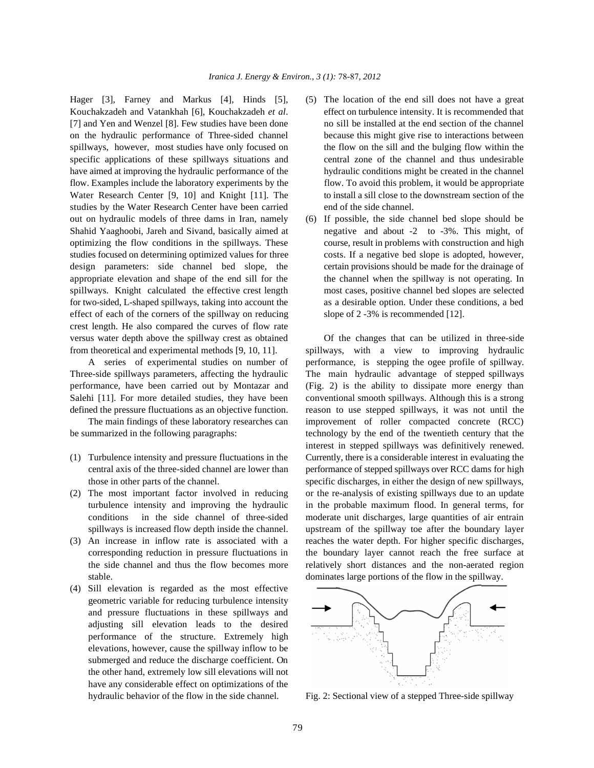studies by the Water Research Center have been carried end of the side channel. out on hydraulic models of three dams in Iran, namely (6) If possible, the side channel bed slope should be effect of each of the corners of the spillway on reducing slope of  $2 - 3\%$  is recommended [12]. crest length. He also compared the curves of flow rate versus water depth above the spillway crest as obtained Of the changes that can be utilized in three-side from theoretical and experimental methods [9, 10, 11]. spillways, with a view to improving hydraulic

Three-side spillways parameters, affecting the hydraulic The main hydraulic advantage of stepped spillways performance, have been carried out by Montazar and (Fig. 2) is the ability to dissipate more energy than Salehi [11]. For more detailed studies, they have been conventional smooth spillways. Although this is a strong defined the pressure fluctuations as an objective function. reason to use stepped spillways, it was not until the

- 
- 
- stable. dominates large portions of the flow in the spillway.
- (4) Sill elevation is regarded as the most effective geometric variable for reducing turbulence intensity and pressure fluctuations in these spillways and adjusting sill elevation leads to the desired performance of the structure. Extremely high elevations, however, cause the spillway inflow to be submerged and reduce the discharge coefficient. On the other hand, extremely low sill elevations will not have any considerable effect on optimizations of the hydraulic behavior of the flow in the side channel. Fig. 2: Sectional view of a stepped Three-side spillway
- Hager [3], Farney and Markus [4], Hinds [5], (5) The location of the end sill does not have a great Kouchakzadeh and Vatankhah [6], Kouchakzadeh *et al.* effect on turbulence intensity. It is recommended that [7] and Yen and Wenzel [8]. Few studies have been done no sill be installed at the end section of the channel on the hydraulic performance of Three-sided channel because this might give rise to interactions between spillways, however, most studies have only focused on the flow on the sill and the bulging flow within the specific applications of these spillways situations and central zone of the channel and thus undesirable have aimed at improving the hydraulic performance of the hydraulic conditions might be created in the channel flow. Examples include the laboratory experiments by the flow. To avoid this problem, it would be appropriate Water Research Center [9, 10] and Knight [11]. The to install a sill close to the downstream section of the
- Shahid Yaaghoobi, Jareh and Sivand, basically aimed at negative and about -2 to -3%. This might, of optimizing the flow conditions in the spillways. These course, result in problems with construction and high studies focused on determining optimized values for three costs. If a negative bed slope is adopted, however, design parameters: side channel bed slope, the certain provisions should be made for the drainage of appropriate elevation and shape of the end sill for the the channel when the spillway is not operating. In spillways. Knight calculated the effective crest length most cases, positive channel bed slopes are selected for two-sided, L-shaped spillways, taking into account the as a desirable option. Under these conditions, a bed

A series of experimental studies on number of performance, is stepping the ogee profile of spillway. The main findings of these laboratory researches can improvement of roller compacted concrete (RCC) be summarized in the following paragraphs: technology by the end of the twentieth century that the (1) Turbulence intensity and pressure fluctuations in the Currently, there is a considerable interest in evaluating the central axis of the three-sided channel are lower than performance of stepped spillways over RCC dams for high those in other parts of the channel. specific discharges, in either the design of new spillways, (2) The most important factor involved in reducing or the re-analysis of existing spillways due to an update turbulence intensity and improving the hydraulic in the probable maximum flood. In general terms, for conditions in the side channel of three-sided moderate unit discharges, large quantities of air entrain spillways is increased flow depth inside the channel. upstream of the spillway toe after the boundary layer (3) An increase in inflow rate is associated with a reaches the water depth. For higher specific discharges, corresponding reduction in pressure fluctuations in the boundary layer cannot reach the free surface at the side channel and thus the flow becomes more relatively short distances and the non-aerated region interest in stepped spillways was definitively renewed.

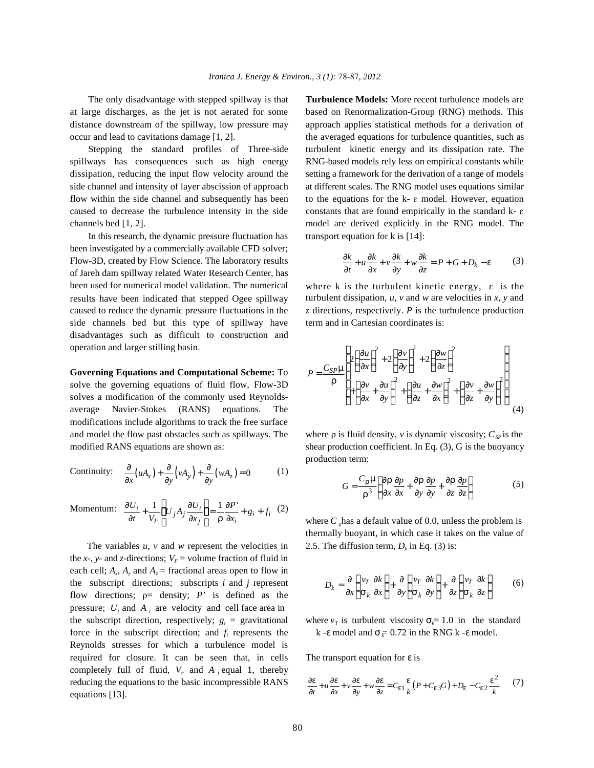spillways has consequences such as high energy RNG-based models rely less on empirical constants while dissipation, reducing the input flow velocity around the setting a framework for the derivation of a range of models side channel and intensity of layer abscission of approach at different scales. The RNG model uses equations similar flow within the side channel and subsequently has been to the equations for the k-  $\varepsilon$  model. However, equation caused to decrease the turbulence intensity in the side constants that are found empirically in the standard  $k - \varepsilon$ channels bed [1, 2]. model are derived explicitly in the RNG model. The

In this research, the dynamic pressure fluctuation has transport equation for k is [14]: been investigated by a commercially available CFD solver; Flow-3D, created by Flow Science. The laboratory results (3) of Jareh dam spillway related Water Research Center, has been used for numerical model validation. The numerical where k is the turbulent kinetic energy,  $\varepsilon$  is the results have been indicated that stepped Ogee spillway turbulent dissipation,  $u$ ,  $v$  and  $w$  are velocities in  $x$ ,  $y$  and caused to reduce the dynamic pressure fluctuations in the *z* directions, respectively. *P* is the turbulence production side channels bed but this type of spillway have term and in Cartesian coordinates is: disadvantages such as difficult to construction and operation and larger stilling basin.

**Governing Equations and Computational Scheme:** To solve the governing equations of fluid flow, Flow-3D solves a modification of the commonly used Reynoldsaverage Navier-Stokes (RANS) equations. The modifications include algorithms to track the free surface and model the flow past obstacles such as spillways. The where  $\rho$  is fluid density,  $\nu$  is dynamic viscosity;  $C_{SP}$  is the modified RANS equations are shown as: shear production coefficient. In Eq. (3), G is the buoyancy

Continuity: 
$$
\frac{\partial}{\partial x}(uA_x) + \frac{\partial}{\partial y}(vA_y) + \frac{\partial}{\partial y}(wA_z) = 0
$$
 (1)

$$
\text{Momentum:} \quad \frac{\partial U_i}{\partial t} + \frac{1}{V_F} \left( U_j A_j \frac{\partial U_i}{\partial x_j} \right) = \frac{1}{r} \frac{\partial P'}{\partial x_i} + g_i + f_i \quad (2)
$$

The variables  $u$ ,  $v$  and  $w$  represent the velocities in the *x*-, *y*- and *z*-directions;  $V_F$  = volume fraction of fluid in each cell;  $A_x$ ,  $A_y$  and  $A_z$  = fractional areas open to flow in the subscript directions; subscripts  $i$  and  $j$  represent flow directions;  $p=$  density; *P'* is defined as the pressure;  $U_j$  and  $A_j$  are velocity and cell face area in the subscript direction, respectively;  $g_i$  = gravitational force in the subscript direction; and  $f_i$  represents the Reynolds stresses for which a turbulence model is required for closure. It can be seen that, in cells The transport equation for *e* is completely full of fluid,  $V_F$  and  $A_i$  equal 1, thereby reducing the equations to the basic incompressible RANS  $\frac{3}{5}$ equations [13].

The only disadvantage with stepped spillway is that **Turbulence Models:** More recent turbulence models are at large discharges, as the jet is not aerated for some based on Renormalization-Group (RNG) methods. This distance downstream of the spillway, low pressure may approach applies statistical methods for a derivation of occur and lead to cavitations damage [1, 2]. the averaged equations for turbulence quantities, such as Stepping the standard profiles of Three-side turbulent kinetic energy and its dissipation rate. The

$$
\frac{\partial k}{\partial t} + u \frac{\partial k}{\partial x} + v \frac{\partial k}{\partial y} + w \frac{\partial k}{\partial z} = P + G + D_k - \mathbf{e}
$$
 (3)

$$
P = \frac{C_{SP}\mathbf{m}}{\mathbf{r}} \left[ 2\left(\frac{\partial u}{\partial x}\right)^2 + 2\left(\frac{\partial v}{\partial y}\right)^2 + 2\left(\frac{\partial w}{\partial z}\right)^2 + \left(\frac{\partial w}{\partial z} + \frac{\partial w}{\partial x}\right)^2 + \left(\frac{\partial v}{\partial z} + \frac{\partial w}{\partial x}\right)^2 + \left(\frac{\partial v}{\partial z} + \frac{\partial w}{\partial y}\right)^2 \right]
$$
(4)

production term:

$$
G = \frac{C_{\mathbf{r}} \mathbf{m}}{\mathbf{r}^3} \left[ \frac{\partial \mathbf{r}}{\partial x} \frac{\partial p}{\partial x} + \frac{\partial \mathbf{r}}{\partial y} \frac{\partial p}{\partial y} + \frac{\partial \mathbf{r}}{\partial z} \frac{\partial p}{\partial z} \right]
$$
(5)

where  $C_{\rho}$  has a default value of 0.0, unless the problem is thermally buoyant, in which case it takes on the value of 2.5. The diffusion term,  $D_k$  in Eq. (3) is:

$$
D_k = \frac{\partial}{\partial x} \left( \frac{v_T}{\mathbf{s}_k} \frac{\partial k}{\partial x} \right) + \frac{\partial}{\partial y} \left( \frac{v_T}{\mathbf{s}_k} \frac{\partial k}{\partial y} \right) + \frac{\partial}{\partial z} \left( \frac{v_T}{\mathbf{s}_k} \frac{\partial k}{\partial z} \right) \tag{6}
$$

 $\mathbf{F} = \text{gravitational}$  where  $v_T$  is turbulent viscosity  $\mathbf{S}_k = 1.0$  in the standard *k* - *e* model and  $s = 0.72$  in the RNG *k* - *e* model.

$$
\frac{\partial e}{\partial t} + u \frac{\partial e}{\partial x} + v \frac{\partial e}{\partial y} + w \frac{\partial e}{\partial z} = C_{e1} \frac{e}{k} (P + C_{e3} G) + D_e - C_{e2} \frac{e^2}{k}
$$
 (7)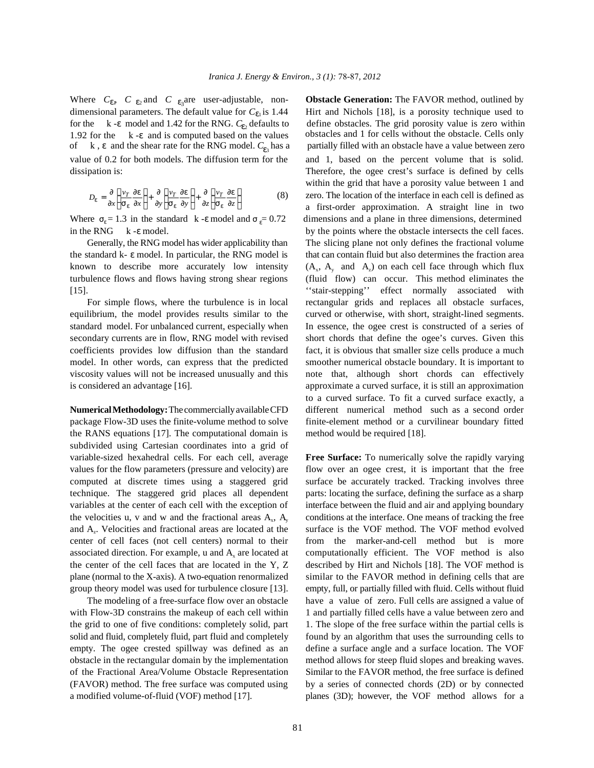Where  $C_{e}$   $C_{e_2}$  and  $C_{e_3}$  are user-adjustable, nondimensional parameters. The default value for  $C_{e_1}$  is 1.44 for the k -*e* model and 1.42 for the RNG.  $C_{e_2}$  defaults to define obstacles. The grid porosity value is zero within 1.92 for the k -*e* and is computed based on the values obstacles and 1 for cells without the ob of k, **e** and the shear rate for the RNG model.  $C_{e_3}$  has a partially filled with an obstacle have a value between zero value of 0.2 for both models. The diffusion term for the and 1, based on the percent volume that is solid.

$$
D_{e} = \frac{\partial}{\partial x} \left( \frac{v_{T}}{s_{e}} \frac{\partial e}{\partial x} \right) + \frac{\partial}{\partial y} \left( \frac{v_{T}}{s_{e}} \frac{\partial e}{\partial y} \right) + \frac{\partial}{\partial z} \left( \frac{v_{T}}{s_{e}} \frac{\partial e}{\partial z} \right)
$$
(8)

the standard k- *e* model. In particular, the RNG model is that can contain fluid but also determines the fraction area turbulence flows and flows having strong shear regions (fluid flow) can occur. This method eliminates the [15]. ''stair-stepping'' effect normally associated with

equilibrium, the model provides results similar to the curved or otherwise, with short, straight-lined segments. standard model. For unbalanced current, especially when In essence, the ogee crest is constructed of a series of secondary currents are in flow, RNG model with revised short chords that define the ogee's curves. Given this coefficients provides low diffusion than the standard fact, it is obvious that smaller size cells produce a much model. In other words, can express that the predicted smoother numerical obstacle boundary. It is important to viscosity values will not be increased unusually and this note that, although short chords can effectively is considered an advantage [16]. approximate a curved surface, it is still an approximation

package Flow-3D uses the finite-volume method to solve finite-element method or a curvilinear boundary fitted the RANS equations [17]. The computational domain is method would be required [18]. subdivided using Cartesian coordinates into a grid of variable-sized hexahedral cells. For each cell, average **Free Surface:** To numerically solve the rapidly varying values for the flow parameters (pressure and velocity) are flow over an ogee crest, it is important that the free computed at discrete times using a staggered grid surface be accurately tracked. Tracking involves three technique. The staggered grid places all dependent parts: locating the surface, defining the surface as a sharp variables at the center of each cell with the exception of interface between the fluid and air and applying boundary the velocities u, v and w and the fractional areas  $A_x$ ,  $A_y$  conditions at the interface. One means of tracking the free and A<sub>r</sub>. Velocities and fractional areas are located at the surface is the VOF method. The VOF method evolved center of cell faces (not cell centers) normal to their from the marker-and-cell method but is more associated direction. For example, u and  $A<sub>x</sub>$  are located at computationally efficient. The VOF method is also the center of the cell faces that are located in the Y, Z described by Hirt and Nichols [18]. The VOF method is plane (normal to the X-axis). A two-equation renormalized similar to the FAVOR method in defining cells that are group theory model was used for turbulence closure [13]. empty, full, or partially filled with fluid. Cells without fluid

solid and fluid, completely fluid, part fluid and completely found by an algorithm that uses the surrounding cells to of the Fractional Area/Volume Obstacle Representation Similar to the FAVOR method, the free surface is defined a modified volume-of-fluid (VOF) method [17]. planes (3D); however, the VOF method allows for a

**Obstacle Generation:** The FAVOR method, outlined by Hirt and Nichols [18], is a porosity technique used to obstacles and 1 for cells without the obstacle. Cells only dissipation is: Therefore, the ogee crest's surface is defined by cells zero. The location of the interface in each cell is defined as Where  $s_e = 1.3$  in the standard k -*e* model and  $s_e = 0.72$  dimensions and a plane in three dimensions, determined in the RNG k -**e** model. by the points where the obstacle intersects the cell faces. Generally, the RNG model has wider applicability than The slicing plane not only defines the fractional volume known to describe more accurately low intensity  $(A_x, A_y \text{ and } A_z)$  on each cell face through which flux For simple flows, where the turbulence is in local rectangular grids and replaces all obstacle surfaces, **Numerical Methodology:** The commercially available CFD different numerical method such as a second order within the grid that have a porosity value between 1 and a first-order approximation. A straight line in two to a curved surface. To fit a curved surface exactly, a

The modeling of a free-surface flow over an obstacle have a value of zero. Full cells are assigned a value of with Flow-3D constrains the makeup of each cell within 1 and partially filled cells have a value between zero and the grid to one of five conditions: completely solid, part 1. The slope of the free surface within the partial cells is empty. The ogee crested spillway was defined as an define a surface angle and a surface location. The VOF obstacle in the rectangular domain by the implementation method allows for steep fluid slopes and breaking waves. (FAVOR) method. The free surface was computed using by a series of connected chords (2D) or by connected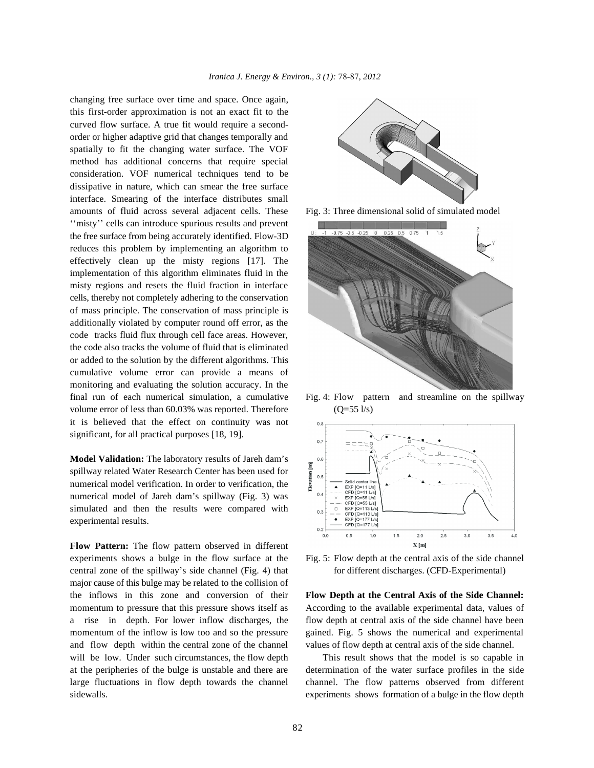changing free surface over time and space. Once again, this first-order approximation is not an exact fit to the curved flow surface. A true fit would require a secondorder or higher adaptive grid that changes temporally and spatially to fit the changing water surface. The VOF method has additional concerns that require special consideration. VOF numerical techniques tend to be dissipative in nature, which can smear the free surface interface. Smearing of the interface distributes small amounts of fluid across several adjacent cells. These Fig. 3: Three dimensional solid of simulated model "misty" cells can introduce spurious results and prevent the free surface from being accurately identified. Flow-3D reduces this problem by implementing an algorithm to effectively clean up the misty regions [17]. The implementation of this algorithm eliminates fluid in the misty regions and resets the fluid fraction in interface cells, thereby not completely adhering to the conservation of mass principle. The conservation of mass principle is additionally violated by computer round off error, as the code tracks fluid flux through cell face areas. However, the code also tracks the volume of fluid that is eliminated or added to the solution by the different algorithms. This cumulative volume error can provide a means of monitoring and evaluating the solution accuracy. In the final run of each numerical simulation, a cumulative Fig. 4: Flow pattern and streamline on the spillway volume error of less than  $60.03\%$  was reported. Therefore  $(O=55 \frac{1}{s})$ it is believed that the effect on continuity was not significant, for all practical purposes [18, 19].

**Model Validation:** The laboratory results of Jareh dam's spillway related Water Research Center has been used for numerical model verification. In order to verification, the numerical model of Jareh dam's spillway (Fig. 3) was simulated and then the results were compared with experimental results.

**Flow Pattern:** The flow pattern observed in different experiments shows a bulge in the flow surface at the Fig. 5: Flow depth at the central axis of the side channel central zone of the spillway's side channel (Fig. 4) that for different discharges. (CFD-Experimental) major cause of this bulge may be related to the collision of the inflows in this zone and conversion of their **Flow Depth at the Central Axis of the Side Channel:** momentum to pressure that this pressure shows itself as According to the available experimental data, values of a rise in depth. For lower inflow discharges, the flow depth at central axis of the side channel have been momentum of the inflow is low too and so the pressure gained. Fig. 5 shows the numerical and experimental and flow depth within the central zone of the channel values of flow depth at central axis of the side channel. will be low. Under such circumstances, the flow depth This result shows that the model is so capable in at the peripheries of the bulge is unstable and there are determination of the water surface profiles in the side large fluctuations in flow depth towards the channel channel. The flow patterns observed from different sidewalls. experiments shows formation of a bulge in the flow depth







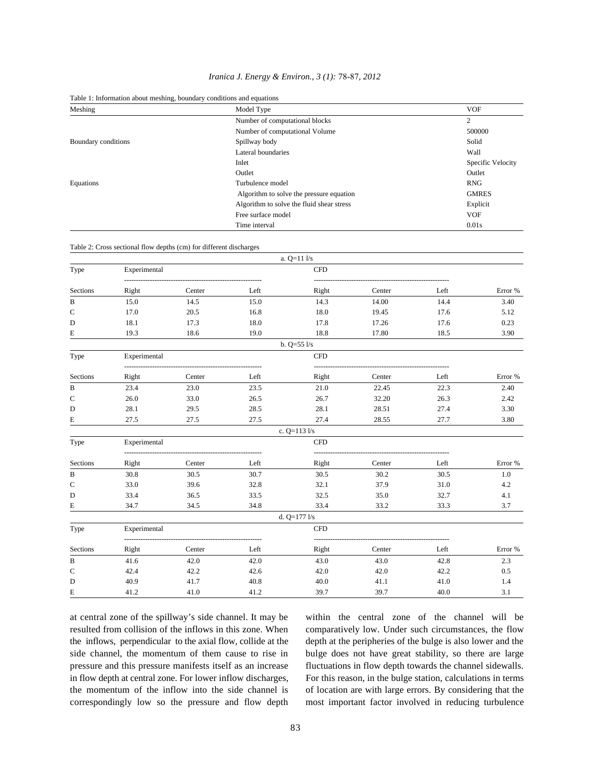| Iranica J. Energy & Environ., 3 (1): 78-87, 2012 |  |  |  |  |  |  |
|--------------------------------------------------|--|--|--|--|--|--|
|--------------------------------------------------|--|--|--|--|--|--|

Table 1: Information about meshing, boundary conditions and equations

| Meshing             | Model Type                                | <b>VOF</b>        |
|---------------------|-------------------------------------------|-------------------|
|                     | Number of computational blocks            | 2                 |
|                     | Number of computational Volume            | 500000            |
| Boundary conditions | Spillway body                             | Solid             |
|                     | Lateral boundaries                        | Wall              |
|                     | Inlet                                     | Specific Velocity |
|                     | Outlet                                    | Outlet            |
| Equations           | Turbulence model                          | <b>RNG</b>        |
|                     | Algorithm to solve the pressure equation  | <b>GMRES</b>      |
|                     | Algorithm to solve the fluid shear stress | Explicit          |
|                     | Free surface model                        | <b>VOF</b>        |
|                     | Time interval                             | 0.01s             |

Table 2: Cross sectional flow depths (cm) for different discharges

|              |              |        |      | a. $Q=11$ $1/s$  |        |      |         |
|--------------|--------------|--------|------|------------------|--------|------|---------|
| Type         | Experimental |        |      | <b>CFD</b>       |        |      |         |
| Sections     | Right        | Center | Left | Right            | Center | Left | Error % |
| $\, {\bf B}$ | 15.0         | 14.5   | 15.0 | 14.3             | 14.00  | 14.4 | 3.40    |
| $\mathsf{C}$ | 17.0         | 20.5   | 16.8 | 18.0             | 19.45  | 17.6 | 5.12    |
| D            | 18.1         | 17.3   | 18.0 | 17.8             | 17.26  | 17.6 | 0.23    |
| Е            | 19.3         | 18.6   | 19.0 | 18.8             | 17.80  | 18.5 | 3.90    |
|              |              |        |      | b. $Q=55$ $1/s$  |        |      |         |
| Type         | Experimental |        |      | CFD              |        |      |         |
| Sections     | Right        | Center | Left | Right            | Center | Left | Error % |
| B            | 23.4         | 23.0   | 23.5 | 21.0             | 22.45  | 22.3 | 2.40    |
| $\mathsf{C}$ | 26.0         | 33.0   | 26.5 | 26.7             | 32.20  | 26.3 | 2.42    |
| D            | 28.1         | 29.5   | 28.5 | 28.1             | 28.51  | 27.4 | 3.30    |
| E            | 27.5         | 27.5   | 27.5 | 27.4             | 28.55  | 27.7 | 3.80    |
|              |              |        |      | c. $Q=113$ $1/s$ |        |      |         |
| Type         | Experimental |        |      | <b>CFD</b>       |        |      |         |
| Sections     | Right        | Center | Left | Right            | Center | Left | Error % |
| B            | 30.8         | 30.5   | 30.7 | 30.5             | 30.2   | 30.5 | 1.0     |
| $\mathsf{C}$ | 33.0         | 39.6   | 32.8 | 32.1             | 37.9   | 31.0 | 4.2     |
| D            | 33.4         | 36.5   | 33.5 | 32.5             | 35.0   | 32.7 | 4.1     |
| E            | 34.7         | 34.5   | 34.8 | 33.4             | 33.2   | 33.3 | 3.7     |
|              |              |        |      | d. $Q=177$ $1/s$ |        |      |         |
| Type         | Experimental |        |      | CFD              |        |      |         |
| Sections     | Right        | Center | Left | Right            | Center | Left | Error % |
| B            | 41.6         | 42.0   | 42.0 | 43.0             | 43.0   | 42.8 | 2.3     |
| $\mathsf{C}$ | 42.4         | 42.2   | 42.6 | 42.0             | 42.0   | 42.2 | 0.5     |
| D            | 40.9         | 41.7   | 40.8 | 40.0             | 41.1   | 41.0 | 1.4     |
| E            | 41.2         | 41.0   | 41.2 | 39.7             | 39.7   | 40.0 | 3.1     |

at central zone of the spillway's side channel. It may be within the central zone of the channel will be resulted from collision of the inflows in this zone. When comparatively low. Under such circumstances, the flow the inflows, perpendicular to the axial flow, collide at the depth at the peripheries of the bulge is also lower and the side channel, the momentum of them cause to rise in bulge does not have great stability, so there are large pressure and this pressure manifests itself as an increase fluctuations in flow depth towards the channel sidewalls. in flow depth at central zone. For lower inflow discharges, For this reason, in the bulge station, calculations in terms the momentum of the inflow into the side channel is of location are with large errors. By considering that the correspondingly low so the pressure and flow depth most important factor involved in reducing turbulence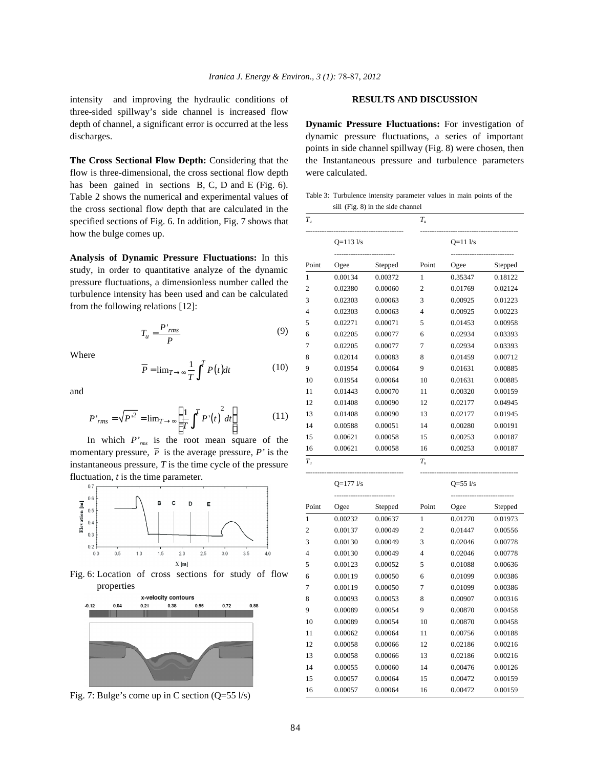intensity and improving the hydraulic conditions of **RESULTS AND DISCUSSION** three-sided spillway's side channel is increased flow depth of channel, a significant error is occurred at the less **Dynamic Pressure Fluctuations:** For investigation of

flow is three-dimensional, the cross sectional flow depth were calculated. has been gained in sections B, C, D and E (Fig. 6). Table 2 shows the numerical and experimental values of the cross sectional flow depth that are calculated in the specified sections of Fig. 6. In addition, Fig. 7 shows that how the bulge comes up.

**Analysis of Dynamic Pressure Fluctuations:** In this study, in order to quantitative analyze of the dynamic pressure fluctuations, a dimensionless number called the turbulence intensity has been used and can be calculated from the following relations [12]:

$$
T_u = \frac{P'_{rms}}{P}
$$
 (9)

Where

$$
\overline{P} = \lim_{T \to \infty} \frac{1}{T} \int^{T} P(t) dt
$$
 (10)

and

$$
P'_{rms} = \sqrt{P'^2} = \lim_{T \to \infty} \left[ \frac{1}{T} \int^T P'(t) dt \right]
$$
 (11)

momentary pressure,  $\overline{P}$  is the average pressure, *P'* is the In which *P'rms* is the root mean square of the instantaneous pressure, *T* is the time cycle of the pressure fluctuation, *t* is the time parameter.



Fig. 6: Location of cross sections for study of flow properties



Fig. 7: Bulge's come up in C section (Q=55 l/s)

discharges. dynamic pressure fluctuations, a series of important **The Cross Sectional Flow Depth:** Considering that the the Instantaneous pressure and turbulence parameters points in side channel spillway (Fig. 8) were chosen, then

Table 3: Turbulence intensity parameter values in main points of the sill (Fig. 8) in the side channel

| $T_{u}$        |               |         | $T_{u}$        |                |         |
|----------------|---------------|---------|----------------|----------------|---------|
|                | $Q=113$ $1/s$ |         |                | $Q=11$ $1/s$   |         |
| Point          | Ogee          | Stepped | Point          | Ogee           | Stepped |
| 1              | 0.00134       | 0.00372 | $\mathbf{1}$   | 0.35347        | 0.18122 |
| 2              | 0.02380       | 0.00060 | $\overline{2}$ | 0.01769        | 0.02124 |
| 3              | 0.02303       | 0.00063 | 3              | 0.00925        | 0.01223 |
| $\overline{4}$ | 0.02303       | 0.00063 | $\overline{4}$ | 0.00925        | 0.00223 |
| 5              | 0.02271       | 0.00071 | 5              | 0.01453        | 0.00958 |
| 6              | 0.02205       | 0.00077 | 6              | 0.02934        | 0.03393 |
| 7              | 0.02205       | 0.00077 | 7              | 0.02934        | 0.03393 |
| 8              | 0.02014       | 0.00083 | 8              | 0.01459        | 0.00712 |
| 9              | 0.01954       | 0.00064 | 9              | 0.01631        | 0.00885 |
| 10             | 0.01954       | 0.00064 | 10             | 0.01631        | 0.00885 |
| 11             | 0.01443       | 0.00070 | 11             | 0.00320        | 0.00159 |
| 12             | 0.01408       | 0.00090 | 12             | 0.02177        | 0.04945 |
| 13             | 0.01408       | 0.00090 | 13             | 0.02177        | 0.01945 |
| 14             | 0.00588       | 0.00051 | 14             | 0.00280        | 0.00191 |
| 15             | 0.00621       | 0.00058 | 15             | 0.00253        | 0.00187 |
| 16             | 0.00621       | 0.00058 | 16             | 0.00253        | 0.00187 |
| $T_u$          |               |         | $T_{u}$        |                |         |
|                | $Q=177$ $1/s$ |         |                | $Q = 55$ $1/s$ |         |

| Point          | Ogee    | Stepped | Point          | Ogee    | Stepped |
|----------------|---------|---------|----------------|---------|---------|
| 1              | 0.00232 | 0.00637 | 1              | 0.01270 | 0.01973 |
| $\overline{c}$ | 0.00137 | 0.00049 | $\overline{c}$ | 0.01447 | 0.00556 |
| 3              | 0.00130 | 0.00049 | 3              | 0.02046 | 0.00778 |
| 4              | 0.00130 | 0.00049 | 4              | 0.02046 | 0.00778 |
| 5              | 0.00123 | 0.00052 | 5              | 0.01088 | 0.00636 |
| 6              | 0.00119 | 0.00050 | 6              | 0.01099 | 0.00386 |
| 7              | 0.00119 | 0.00050 | 7              | 0.01099 | 0.00386 |
| 8              | 0.00093 | 0.00053 | 8              | 0.00907 | 0.00316 |
| 9              | 0.00089 | 0.00054 | 9              | 0.00870 | 0.00458 |
| 10             | 0.00089 | 0.00054 | 10             | 0.00870 | 0.00458 |
| 11             | 0.00062 | 0.00064 | 11             | 0.00756 | 0.00188 |
| 12             | 0.00058 | 0.00066 | 12             | 0.02186 | 0.00216 |
| 13             | 0.00058 | 0.00066 | 13             | 0.02186 | 0.00216 |
| 14             | 0.00055 | 0.00060 | 14             | 0.00476 | 0.00126 |
| 15             | 0.00057 | 0.00064 | 15             | 0.00472 | 0.00159 |
| 16             | 0.00057 | 0.00064 | 16             | 0.00472 | 0.00159 |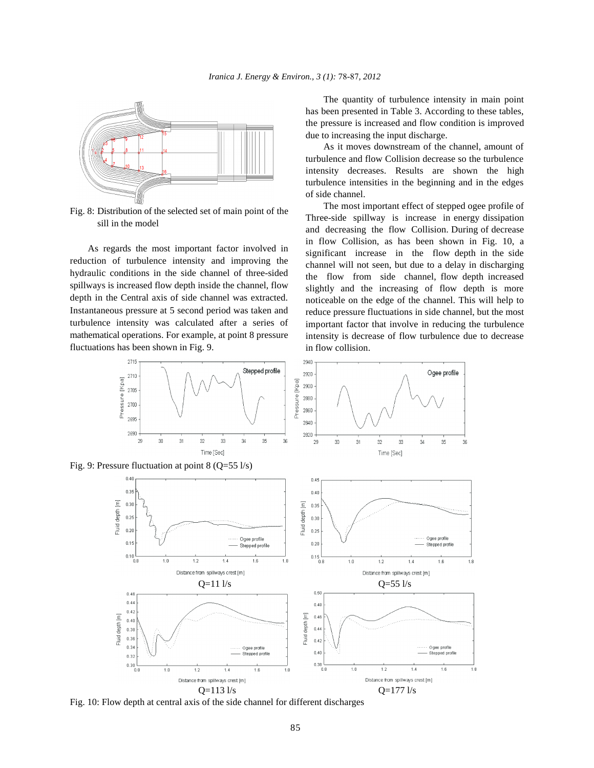

Fig. 8: Distribution of the selected set of main point of the sill in the model

As regards the most important factor involved in reduction of turbulence intensity and improving the hydraulic conditions in the side channel of three-sided spillways is increased flow depth inside the channel, flow depth in the Central axis of side channel was extracted. Instantaneous pressure at 5 second period was taken and turbulence intensity was calculated after a series of mathematical operations. For example, at point 8 pressure fluctuations has been shown in Fig. 9.

The quantity of turbulence intensity in main point has been presented in Table 3. According to these tables, the pressure is increased and flow condition is improved due to increasing the input discharge.

As it moves downstream of the channel, amount of turbulence and flow Collision decrease so the turbulence intensity decreases. Results are shown the high turbulence intensities in the beginning and in the edges of side channel.

The most important effect of stepped ogee profile of Three-side spillway is increase in energy dissipation and decreasing the flow Collision. During of decrease in flow Collision, as has been shown in Fig. 10, a significant increase in the flow depth in the side channel will not seen, but due to a delay in discharging the flow from side channel, flow depth increased slightly and the increasing of flow depth is more noticeable on the edge of the channel. This will help to reduce pressure fluctuations in side channel, but the most important factor that involve in reducing the turbulence intensity is decrease of flow turbulence due to decrease in flow collision.



Fig. 10: Flow depth at central axis of the side channel for different discharges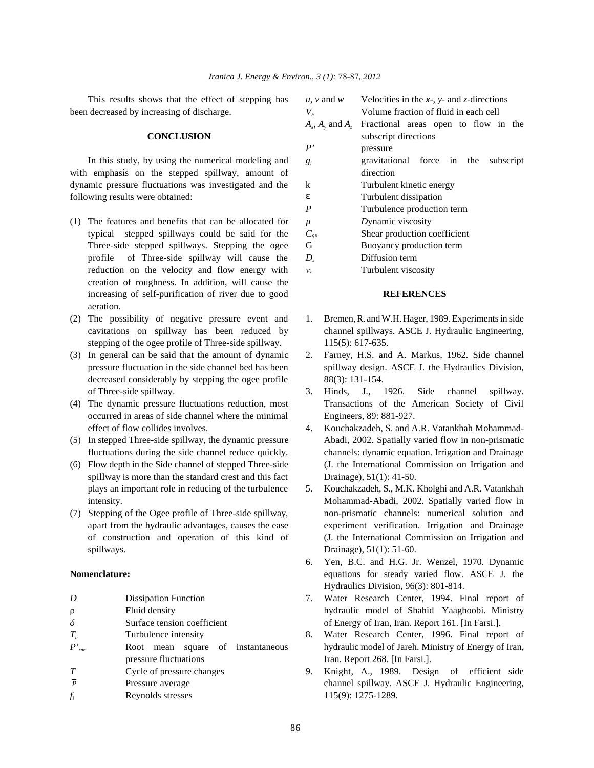This results shows that the effect of stepping has been decreased by increasing of discharge.

### **CONCLUSION**

In this study, by using the numerical modeling and with emphasis on the stepped spillway, amount of dynamic pressure fluctuations was investigated and the following results were obtained:

- (1) The features and benefits that can be allocated for typical stepped spillways could be said for the Three-side stepped spillways. Stepping the ogee profile of Three-side spillway will cause the reduction on the velocity and flow energy with creation of roughness. In addition, will cause the increasing of self-purification of river due to good **REFERENCES** aeration.
- stepping of the ogee profile of Three-side spillway. 115(5): 617-635.
- decreased considerably by stepping the ogee profile 88(3): 131-154. of Three-side spillway. 3. Hinds, J., 1926. Side channel spillway.
- occurred in areas of side channel where the minimal Engineers, 89: 881-927. effect of flow collides involves. 4. Kouchakzadeh, S. and A.R. Vatankhah Mohammad-
- 
- spillway is more than the standard crest and this fact Drainage), 51(1): 41-50.
- spillways. Drainage), 51(1): 51-60.

| D              | <b>Dissipation Function</b>                               |  |  |  |  |
|----------------|-----------------------------------------------------------|--|--|--|--|
| $\rho$         | Fluid density                                             |  |  |  |  |
| ó              | Surface tension coefficient                               |  |  |  |  |
| $T_u$          | Turbulence intensity                                      |  |  |  |  |
| $P'_{rms}$     | Root mean square of instantaneou<br>pressure fluctuations |  |  |  |  |
| T              | Cycle of pressure changes                                 |  |  |  |  |
| $\overline{p}$ | Pressure average                                          |  |  |  |  |
| f,             | Reynolds stresses                                         |  |  |  |  |
|                |                                                           |  |  |  |  |

| $u, v$ and $w$             | Velocities in the $x$ -, $y$ - and $z$ -directions |
|----------------------------|----------------------------------------------------|
| $V_{\scriptscriptstyle F}$ | Volume fraction of fluid in each cell              |
| $A_x$ , $A_y$ and $A_z$    | Fractional areas open to flow in the               |
|                            | subscript directions                               |
| P'                         | pressure                                           |
| $g_i$                      | gravitational force in the<br>subscript            |
|                            | direction                                          |
| k                          | Turbulent kinetic energy                           |
| e                          | Turbulent dissipation                              |
| P                          | Turbulence production term                         |
| μ                          | Dynamic viscosity                                  |
| $C_{SP}$                   | Shear production coefficient                       |
| G                          | Buoyancy production term                           |
| $D_k$                      | Diffusion term                                     |
| $v_r$                      | Turbulent viscosity                                |

- (2) The possibility of negative pressure event and 1. Bremen, R. and W.H. Hager, 1989. Experiments in side cavitations on spillway has been reduced by channel spillways. ASCE J. Hydraulic Engineering,
- (3) In general can be said that the amount of dynamic 2. Farney, H.S. and A. Markus, 1962. Side channel pressure fluctuation in the side channel bed has been spillway design. ASCE J. the Hydraulics Division,
- (4) The dynamic pressure fluctuations reduction, most Transactions of the American Society of Civil
- (5) In stepped Three-side spillway, the dynamic pressure Abadi, 2002. Spatially varied flow in non-prismatic fluctuations during the side channel reduce quickly. channels: dynamic equation. Irrigation and Drainage (6) Flow depth in the Side channel of stepped Three-side (J. the International Commission on Irrigation and
- plays an important role in reducing of the turbulence 5. Kouchakzadeh, S., M.K. Kholghi and A.R. Vatankhah intensity. Mohammad-Abadi, 2002. Spatially varied flow in (7) Stepping of the Ogee profile of Three-side spillway, non-prismatic channels: numerical solution and apart from the hydraulic advantages, causes the ease experiment verification. Irrigation and Drainage of construction and operation of this kind of (J. the International Commission on Irrigation and
- **Nomenclature: equations for steady varied flow. ASCE J. the** 6. Yen, B.C. and H.G. Jr. Wenzel, 1970. Dynamic Hydraulics Division, 96(3): 801-814.
	- 7. Water Research Center, 1994. Final report of hydraulic model of Shahid Yaaghoobi. Ministry *of Energy of Iran, Iran. Report 161. [In Farsi.].*
	- 8. Water Research Center, 1996. Final report of *P P P P' <i>P' <b>P' <i>Root model of Jareh. Ministry of Energy of Iran, <i>rms* Iran. Report 268. [In Farsi.].
		- 9. Knight, A., 1989. Design of efficient side channel spillway. ASCE J. Hydraulic Engineering, *f* Reynolds stresses 115(9): 1275-1289. *<sup>i</sup>*